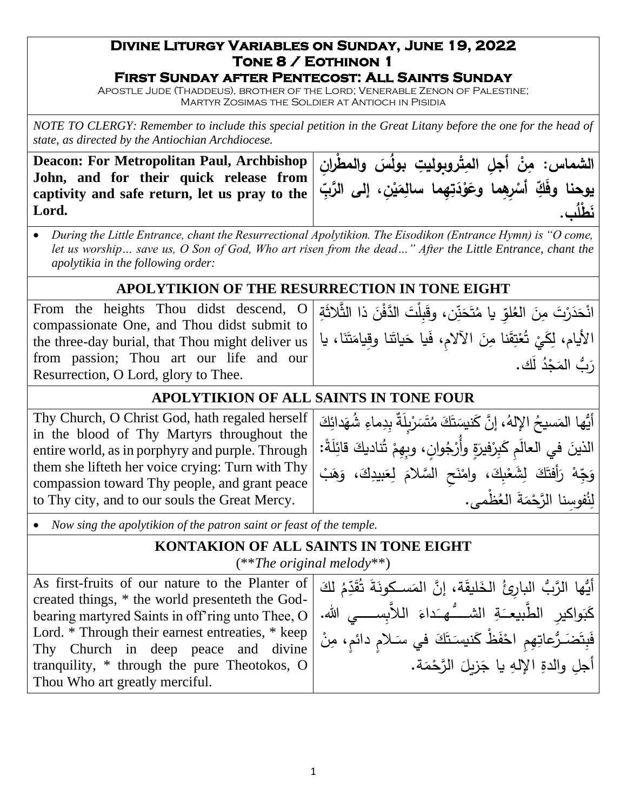### **Divine Liturgy Variables on Sunday, June 19, 2022 Tone 8 / Eothinon 1**

#### **First Sunday after Pentecost: All Saints Sunday**

Apostle Jude (Thaddeus), brother of the Lord; Venerable Zenon of Palestine; Martyr Zosimas the Soldier at Antioch in Pisidia

*NOTE TO CLERGY: Remember to include this special petition in the Great Litany before the one for the head of state, as directed by the Antiochian Archdiocese.*

**Deacon: For Metropolitan Paul, Archbishop John, and for their quick release from captivity and safe return, let us pray to the Lord.**



• *During the Little Entrance, chant the Resurrectional Apolytikion. The Eisodikon (Entrance Hymn) is "O come, let us worship… save us, O Son of God, Who art risen from the dead…" After the Little Entrance, chant the apolytikia in the following order:*

## **APOLYTIKION OF THE RESURRECTION IN TONE EIGHT**

From the heights Thou didst descend, O compassionate One, and Thou didst submit to the three-day burial, that Thou might deliver us from passion; Thou art our life and our Resurrection, O Lord, glory to Thee.

انْحَدَرْتَ مِنَ العُلوِّ يا مُتَحَنِّن، وقَبِلْتَ الدَّفْنَ ذا الثَّلاثَةِ .<br>ا َ َ الأيام، لِكَيْ تُعْتِقَنا مِنَ الآلامِ، فَيا حَياتَنا وقِيامَتَنَا، يا َ <u>آ</u> ا<br>ا <u>آ</u> َ َ <u>َ</u>ـٰ .<br>م ْ .<br>. رَبُّ المَجْدُ لك.<br>-**:** 

## **APOLYTIKION OF ALL SAINTS IN TONE FOUR**

Thy Church, O Christ God, hath regaled herself in the blood of Thy Martyrs throughout the entire world, as in porphyry and purple. Through them she lifteth her voice crying: Turn with Thy compassion toward Thy people, and grant peace to Thy city, and to our souls the Great Mercy.

َ أَيُّها المَسيخُ الإِلهُ، إِنَّ كَنيسَتَكَ مُتَسَرْبِلَةٌ بِدِماءِ شُهَدائِكَ<br>أيُّها المَسيخُ الإِلهُ، إِنَّ كَنيسَتَكَ مُتَسَرْبِلَةٌ بِدِماءِ شُهَدائِكَ  $\epsilon$ **ٔ** ً<br>أ َ ِ<br>و َ الذينَ في العالَمِ كَبِرْفيرَةٍ وأُرْجُوانٍ، وبِهِمْ تُناديكَ قائِلَةً: َ ْ َ **ٔ** َ وَجِّهْ رَأَفْتَكَ لِشَعْبِكَ، وامْنَحِ السَّلامَ لِعَبيدِكَ، وَهَبْ .<br>ا ْ َ ْ **ٔ** َ .<br>تا َ مُ لِنُفوسِنا الرَّحْمَةَ العُظْمى. <u>ٔ</u>

• *Now sing the apolytikion of the patron saint or feast of the temple.*

#### **KONTAKION OF ALL SAINTS IN TONE EIGHT** (\*\**The original melody*\*\*)

As first-fruits of our nature to the Planter of created things, \* the world presenteth the Godbearing martyred Saints in off'ring unto Thee, O Lord. \* Through their earnest entreaties, \* keep Thy Church in deep peace and divine tranquility, \* through the pure Theotokos, O Thou Who art greatly merciful.

َ ِّمۡ لَكَ<br>ِ أَيُّها الرَّبُّ البارِئُ الخَليقَة، إنَّ المَسـكونَةَ ثُقَرِّ ٔ<br>ا َ ٔ<br>أ كَبَواكيرِ الطَّبيعـَةِ الشَّـــُّـهــَداءَ اللاَّبِســـــي الله. َ َ َ .<br>-فَبِتَضَـرُّعاتِهِمِ احْفَظْ كَنيسَتَكَ في سَـلامٍ دائمٍ، مِنْ<br>. َ َ َ ــ<br>- $\overline{a}$ أجلِ والدةِ الإلهِ يا جَزيلَ الرَّحْمَة.  $\ddot{ }$ َ <u>ٔ</u>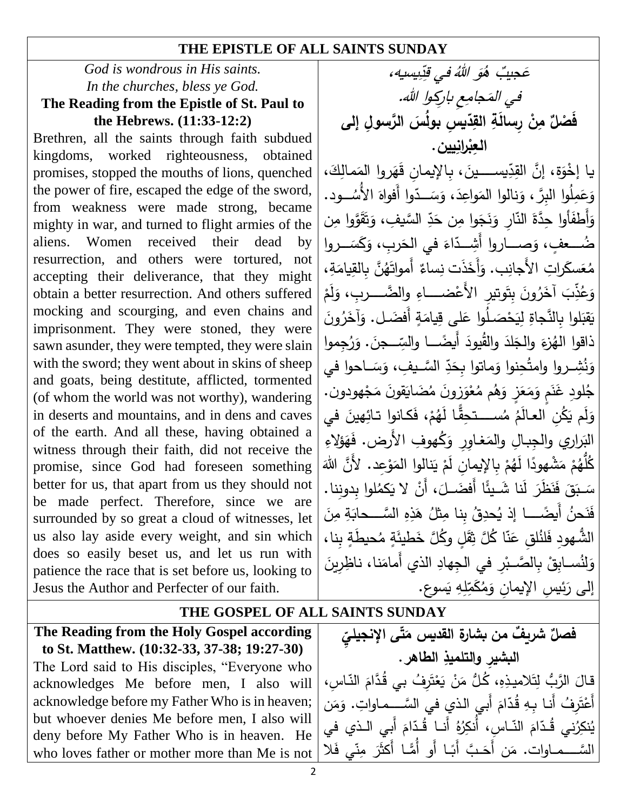#### **THE EPISTLE OF ALL SAINTS SUNDAY**

#### *God is wondrous in His saints. In the churches, bless ye God.* **The Reading from the Epistle of St. Paul to the Hebrews. (11:33-12:2)**

Brethren, all the saints through faith subdued kingdoms, worked righteousness, obtained promises, stopped the mouths of lions, quenched the power of fire, escaped the edge of the sword, from weakness were made strong, became mighty in war, and turned to flight armies of the aliens. Women received their dead by resurrection, and others were tortured, not accepting their deliverance, that they might obtain a better resurrection. And others suffered mocking and scourging, and even chains and imprisonment. They were stoned, they were sawn asunder, they were tempted, they were slain with the sword; they went about in skins of sheep and goats, being destitute, afflicted, tormented (of whom the world was not worthy), wandering in deserts and mountains, and in dens and caves of the earth. And all these, having obtained a witness through their faith, did not receive the promise, since God had foreseen something better for us, that apart from us they should not be made perfect. Therefore, since we are surrounded by so great a cloud of witnesses, let us also lay aside every weight, and sin which does so easily beset us, and let us run with patience the race that is set before us, looking to Jesus the Author and Perfecter of our faith.

يسيه، ِ د ِ في <sup>ق</sup> ُ َو ٌُب <sup>ه</sup> َجي ه في المَجامِعِ باركِوا الله. فَصْلٌ مِنْ رِسالَةِ القِدِّيسِ بولُسَ الرَّسولِ إلى **العِ ب ِ ارنيين. ْ** يا إِخْوَة، إِنَّ القِدِّيســــينَ، بِالإِيمانِ قَهَروا المَمالِكَ،<br>م َ  $\epsilon$ ـَـٰ ةِ، إِنَّ القِدِّ وَعَمِلُوا البِرَّ ، وَنالوا المَواعِدَ، وَسَــدّوا أَفواهَ الأُسُـــود.<br>مَحْمَدُهُ مِسْسًا ا<br>ا .<br>. َ .<br>ا ا<br>ا َ دِّ السَّيفِ، وَتَقَوَّوا مِن <u>َ</u> َ وَأَطفَأُوا حِدَّةَ النَّارِ وَنَجَوا مِن حَدِّ َ -<br>⊱ َ ضُــعفٍ، وَصِـــاروا أَشِــدّاءَ في الحَربِ، وَكَسَــروا َ َ َ مُعَسكَراتِ الأَجانِبِ. وَأَخَذَت نِساءٌ أَمواتَهُنَّ بِالقِيامَةِ،<br>مُعَسكَراتِ الأَجانِبِ. وَأَخَذَت نِساءٌ أَمواتَهُنَّ بِالقِيامَةِ، ا<br>ا َ ْ وَعُذِّبَ آخَرُونَ بِتَوتيرٍ الأَعْضــــاءِ وِالضَّــــربِ، وَلَمْ ْ َ ْ يَقْبَلُوا بِالنَّجاةِ لِيَحْصَـلُوا عَلَى قِيامَةٍ أَفضَـل. وَآخَرُونَ َ َ َ :<br>ا ذاقوا المُزعَ والجَلدَ والقُيودَ أَيضًــــا والسِّـــجنَ. وَرُجِموا<br>. **∶** َ <u>َ</u> دِّ السَّـيفِ، وَسَـاحوا في ً<br>أ َ وَنُشِــروا وامتُحِنوا وَماتوا بِحَدِّ َ <u>ء</u><br>. ْ جُلِودِ غَنَمٍ وَمَعَزٍ وَهُم مُعْوَزِونَ مُضَايَقُونَ مَجْهُودُون. َ <u>ٔ</u> ً<br>ٌ <u>َ</u> َ ْ وَلَم يَكُنِ العالَمُ مُســـتحِقًّا لَهُمْ، فَكانوا تائِهينَ في الْبَراري والجِبالِ والمَغاوِرِ وَكُهوفِ الأَرض. فَهَؤلاءِ ءِ<br>ِ ا<br>ا  $\triangleleft$ ْ كُلُّهُمْ مَشْهودًا لِّهُمْ بِالإِيمانِ لَمْ يَنالوا المَوْعِد. لأَنَّ اللَّهَ ْ ْ ْ ا<br>ا .<br>با َ  $\overline{\phantom{0}}$ سَـبَقَ فَنَظَٰرَ لَٰنا شَـيئًا أَفضَــلَ، أَنْ لا يَكمُلوا بِدونِنا.<br>حَمَّــٰ فَنَظَّرَ لَٰنا شَــيئًا أَفضَــلَ، أَنْ لا يَكمُلوا بِدونِنا. َ  $\ddot{=}$ .<br>ا مِن ةِ ال َّسككككككككككحا ِ و ِ ذ ه ُ ثل ِبنا مِ ُ ِل ُحد ا إذ ي ً أَيضكككككككككك ُ َحن ن َ ف َ ى<br>ئا الشُّهودِ فَلنُلقِ عَنّا كُلَّ ثِقَلٍ وكُلَّ خَطيئَةٍ مُحيطَةٍ بِنا، ة<br>م <u>م</u> **ٔ** وَلِنُســابِقْ بِالصَّــبْرِ في الجِهادِ الذي أَمامَنا، ناظِرِينَ ْ .<br>ا ً<br>ً َسوع. ي هِ ِ ل ِ إلى رَئِيسِ الإِيمانِ وَمُكَمِّ َ

# **THE GOSPEL OF ALL SAINTS SUNDAY**

**The Reading from the Holy Gospel according to St. Matthew. (10:32-33, 37-38; 19:27-30)** The Lord said to His disciples, "Everyone who acknowledges Me before men, I also will acknowledge before my Father Who is in heaven; but whoever denies Me before men, I also will deny before My Father Who is in heaven. He who loves father or mother more than Me is not

فصلٌ شريفٌ من بشارة القديس مَتَّى الإنجيليِّ<br>مسابق **ى اإلنجيلي البشيِر الطاهر ِ والتلميذ .** .<br>-قالَ الزَّبُّ لِتَلاميذِهِ، كُلُّ مَنْ يَعْتَرِفُ بي قُدَّامَ النّاسِ،<br>تَعْمَدُ مُسَطِّعَةٍ ْ ْ أَعْتَرِفُ أَنا بِهِ قُدّامَ أَبي الذي في السَّــماواتِ. وَمَن<br>. يُنكِرُني قُدّامَ النّاسِ، أُنكِرُهُ أَنا قُدّامَ أَبي الـذي في<br>. السَّـــمــاوات. مَن أَحَـبَّ أَبَـا أَو أَمَّـا أَكثَرَ مِنّي فَلا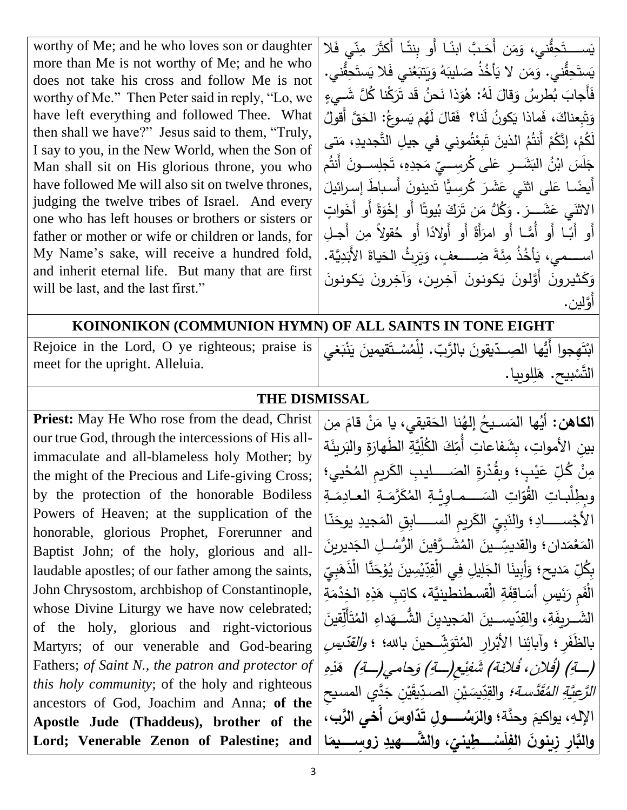worthy of Me; and he who loves son or daughter more than Me is not worthy of Me; and he who does not take his cross and follow Me is not worthy of Me." Then Peter said in reply, "Lo, we have left everything and followed Thee. What then shall we have?" Jesus said to them, "Truly, I say to you, in the New World, when the Son of Man shall sit on His glorious throne, you who have followed Me will also sit on twelve thrones, judging the twelve tribes of Israel. And every one who has left houses or brothers or sisters or father or mother or wife or children or lands, for My Name's sake, will receive a hundred fold, and inherit eternal life. But many that are first will be last, and the last first."

يَســـتَحِقُّني، وَمَن أَحَبَّ ابنَـا أَو بِنتَـا أَكثَرَ مِنّي فَلا َ ์<br>. ً<br>ً َ َ يَستَحِقُّني. وَمَن لا يَأْخُذُ صَليبَهُ وَيَتبَعُني فَلا يَستَحِقُّني.<br>يَهْ <u>َ</u>  $\ddot{•}$ َبَا<br>ا َ َ َ ׇ֓֡<u>֓</u> َ َ <u>َ</u> فَأَجابَ بُطرِسُ وَقالَ لَهُ: هُوَذا نَحنُ قَد تَرَكْنا كُلَّ شَبِيءٍ َ َ  $\overline{\phantom{0}}$ َ **∶** <u>ہ</u> َ وَتَبِعناكَ، فَماذا يَكونُ لَنا؟ ۖ فَقالَ لَهُم يَسوعُ: الحَقَّ أَقولُ<br>َ  $\overline{a}$ .<br>ا َ َ َ َ لَكُمْ، إِنَّكُمْ أَنتُمُ الذينَ تَبِعْتُموني في جيلِ التَّجديدِ، مَت*ى*<br>-ْ ْ ْ اً<br>ا  $\frac{1}{\sqrt{2}}$ ر<br>ءَ **ٔ** جَلَسَ ابْنُ البَشَــرِ عَلـى كُرسِـــيِّ مَجدِهِ، تَجلِســونَ أَنتُم<br>أَضَاء البَاسُ البَشَــرِ  $\overline{a}$ **:** ً<br>ً َ .<br>.  $\overline{\phantom{0}}$ أَيضًـا عَلى اثنَي عَشَرَ كُرسِيًّا تَدينونَ أَسباطُ إسرائيلَ ۔<br>ا َ َ الاَثنَي عَشَـــرَ . وَكُلُّ مَن تَرَكَ بُيوتًا أَو إخْوَةً أَو أَخَواتٍ<br>يَسْمَعُ يَسْمُدُ فَيَسْمَدُ وَجَمَعَ الْمَرْضَةِ فَي مَسْمَدَتِ الْمَوْقَةِ أَو أَخَواتٍ نا<br>پ ٔ ءِ<br>ِ َ َ أَو أَبَّـا أَو أَهَـا أَو امرَأَةً أَو أَولادًا أَو حُقولاً مِن أَجـلِ َ اســــمي، يَأخُذُ مِئَةَ ضِـــــعفٍ، وَيَرِثُ الحَياةَ الأَبَدِيَّة. ؘ<br>֚ َ َ .<br>ا َ ۔<br>۔<br>۔ وَكَثيرونَ أَوَّلونَ يَكونونَ آخِرين، وَآخِرونَ يَكونونَ<br>أَ  $\ddot{ }$  $\ddot{ }$ َ أََّولين.

#### **KOINONIKON (COMMUNION HYMN) OF ALL SAINTS IN TONE EIGHT**

Rejoice in the Lord, O ye righteous; praise is Rejoice in the Lord, O ye righteous; praise is | الجَّابَعِجوا أَيُّها الصِــدّيقونَ بالرَّبّ. لِلْمُسْــتَقيمينَ يَنْبَغي

<u>َ</u>ـٰ  $\overline{\phantom{a}}$ ِبِّ. لِلْمُسْـتَقيمينَ يَنْبَغي ْ <u>آ</u> .<br>با ֡<u>֚</u>ׇׇ֖֖֚֚֡ َ التَّ َ س بيح. ه للو ييا. ِ <u>ّ</u>

#### **THE DISMISSAL**

**Priest:** May He Who rose from the dead, Christ our true God, through the intercessions of His allimmaculate and all-blameless holy Mother; by the might of the Precious and Life-giving Cross; by the protection of the honorable Bodiless Powers of Heaven; at the supplication of the honorable, glorious Prophet, Forerunner and Baptist John; of the holy, glorious and alllaudable apostles; of our father among the saints, John Chrysostom, archbishop of Constantinople, whose Divine Liturgy we have now celebrated; of the holy, glorious and right-victorious Martyrs; of our venerable and God-bearing Fathers; *of Saint N., the patron and protector of this holy community*; of the holy and righteous ancestors of God, Joachim and Anna; **of the Apostle Jude (Thaddeus), brother of the Lord; Venerable Zenon of Palestine; and** 

**الكاهن:** ن قيقي، يا م نا الح ُ إله ُ سككككيح ها الم ُ أي ن مِ قام .<br>-َ َ ا<br>۔ مُ بينِ الأمواتِ، بِشَفاعاتِ أُمِّكَ الكُلِّيَّةِ الطَهارَةِ والبَريِثَة َ ل َ َ مِنْ كُلِّ عَيْبٍ**؛** وبقُدْرةِ الصَــــــليبِ الكَريمِ المُحْييِ؛<br>. <u>ٔ</u> ْ َ وبِطِلْبـاتِ القُوّاتِ السَــــمـاوِيَّـةِ المُكَرَّمَـةِ العـادِمَـةِ ا<br>ا ا<br>ا َ ً<br>ب يِّ الكَريمِ الســــــــابِقِ المَجيدِ يوحَنّـا َ َ  $\cdot$ الأجْســــــادِ<mark>؛ وال</mark>نَبِيِّ َ .<br>ا سِّــينَ المُشَــرَّفِينَ الرُّسُـــلِ الجَديرينَ<br>مُستَدَّ ֪֪֪֪֪֪֧֧֪֪֪֪֪֪֪֪֪֪֪֪֪֪֪֦֚֚֚֚֚֝֝֝֝֝֩֩֩֓֝֬֝֝֝֝ .<br>ا َ  $\frac{1}{2}$ المَعْمَدانِ ؛ والقديسِّب<br>مُسك ْ ِ į ِّدِّيْسِينَ يُوْحَنَّا الْذَهَبِيِّ ى<br>ئا َ <u>ٔ</u> .<br>-**ٔ** بِكُلِّ مَديح؛ وَأَبِينَا الْجَلِيلِ فِي الْقِدِّيْسِينَ يُوْحَنَّا الْذَهَبِيِّ<br>م َ َ الْفَمِ رَئِيسِ أَسَـاقِفَةِ الْقسطنطينيَّة، كاتِبِ هَذِهِ الخِدْمَةِ<br>-ً<br>ٌ ا<br>أ َةِ َ ريف الشككككك ك داءِ ه الشككككك ك ُّ جيدِين الم يسككككك كين د ، والق ِ قين ِ أَل ت ُ الم  $\epsilon$ <u>َ</u> ا<br>ا .<br>-<u>َ</u> <u>َ</u> بالظَفَرِ ؛ وآبائِنا الأَبْرارِ المُتَوَشِّحينَ بالله؛ ؛ *والقدّيسِ* .<br>-َ ْ ِ (كق) (فُلان، فُلانة) شَفِيْعِ(كّ) وَحامي(كّ) هَذِهِ *نَّسة؛* والقدِّيسَيْن الصدِّي َ ق *الرَّعِيَّةِ المُقَدَّسة؛* والقِدِّيسَيْنِ الصدِّيقَيْنِ جَدَّي المسيح الإلهِ، يواكيمَ وحنَّة**؛ والرَسُــــــولِ تَدَّاوسَ أَخي الرَّبِ،**  $\ddot{\phantom{0}}$ ٔ<br>با Ä دِّيسَيْنِ الصدِّ **ال** َ د ِ الق **ا زوِسُُُُُُُ م ، وال َّشُُُُُُُهيدِ َ**  والنَّارِ زِي<u>نونَ الفِلَسْسطِينيِّ</u> **ْ**